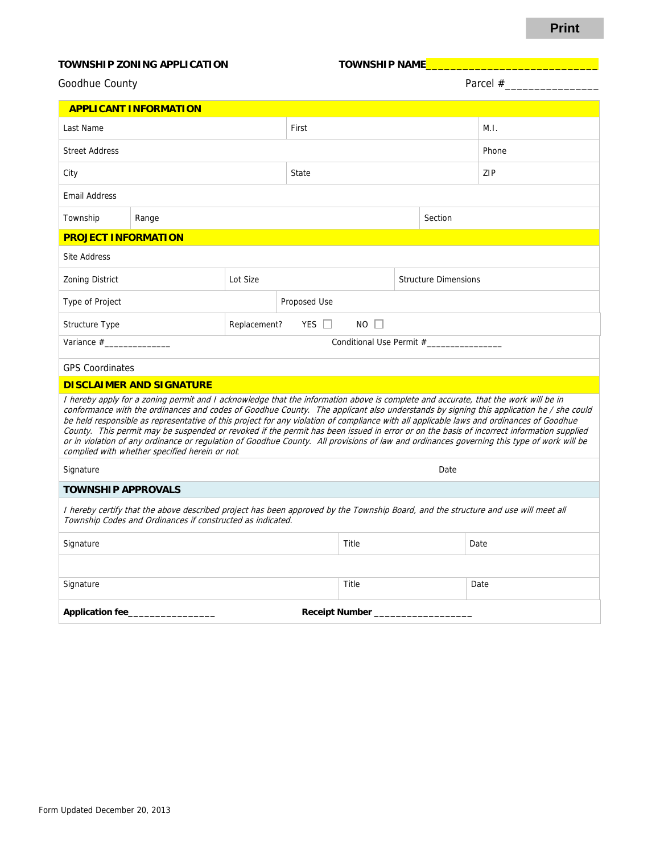## **Print**

## TOWNSHIP ZONING APPLICATION TOWNSHIP NAME

| Goodhue County               |              | Parcel $#$ |  |  |  |
|------------------------------|--------------|------------|--|--|--|
| <b>APPLICANT INFORMATION</b> |              |            |  |  |  |
| Lost Nomo                    | <b>Circt</b> |            |  |  |  |

| Last Name                                                                                                                                                                                                                                                                                                                                                                                                                                                                                                                                                                                                                                                                                                                                                            |                                           |       | First        |  | M.I.    |                             |  |
|----------------------------------------------------------------------------------------------------------------------------------------------------------------------------------------------------------------------------------------------------------------------------------------------------------------------------------------------------------------------------------------------------------------------------------------------------------------------------------------------------------------------------------------------------------------------------------------------------------------------------------------------------------------------------------------------------------------------------------------------------------------------|-------------------------------------------|-------|--------------|--|---------|-----------------------------|--|
| <b>Street Address</b>                                                                                                                                                                                                                                                                                                                                                                                                                                                                                                                                                                                                                                                                                                                                                |                                           |       |              |  |         | Phone                       |  |
| City                                                                                                                                                                                                                                                                                                                                                                                                                                                                                                                                                                                                                                                                                                                                                                 |                                           | State |              |  | ZIP     |                             |  |
| <b>Email Address</b>                                                                                                                                                                                                                                                                                                                                                                                                                                                                                                                                                                                                                                                                                                                                                 |                                           |       |              |  |         |                             |  |
| Township                                                                                                                                                                                                                                                                                                                                                                                                                                                                                                                                                                                                                                                                                                                                                             | Range                                     |       |              |  | Section |                             |  |
| <b>PROJECT INFORMATION</b>                                                                                                                                                                                                                                                                                                                                                                                                                                                                                                                                                                                                                                                                                                                                           |                                           |       |              |  |         |                             |  |
| <b>Site Address</b>                                                                                                                                                                                                                                                                                                                                                                                                                                                                                                                                                                                                                                                                                                                                                  |                                           |       |              |  |         |                             |  |
| <b>Zoning District</b>                                                                                                                                                                                                                                                                                                                                                                                                                                                                                                                                                                                                                                                                                                                                               | Lot Size                                  |       |              |  |         | <b>Structure Dimensions</b> |  |
| Type of Project                                                                                                                                                                                                                                                                                                                                                                                                                                                                                                                                                                                                                                                                                                                                                      |                                           |       | Proposed Use |  |         |                             |  |
| Structure Type                                                                                                                                                                                                                                                                                                                                                                                                                                                                                                                                                                                                                                                                                                                                                       | $NO$ $\Box$<br>YES $\Box$<br>Replacement? |       |              |  |         |                             |  |
|                                                                                                                                                                                                                                                                                                                                                                                                                                                                                                                                                                                                                                                                                                                                                                      |                                           |       |              |  |         |                             |  |
| <b>GPS Coordinates</b>                                                                                                                                                                                                                                                                                                                                                                                                                                                                                                                                                                                                                                                                                                                                               |                                           |       |              |  |         |                             |  |
| <b>DISCLAIMER AND SIGNATURE</b>                                                                                                                                                                                                                                                                                                                                                                                                                                                                                                                                                                                                                                                                                                                                      |                                           |       |              |  |         |                             |  |
| I hereby apply for a zoning permit and I acknowledge that the information above is complete and accurate, that the work will be in<br>conformance with the ordinances and codes of Goodhue County. The applicant also understands by signing this application he / she could<br>be held responsible as representative of this project for any violation of compliance with all applicable laws and ordinances of Goodhue<br>County. This permit may be suspended or revoked if the permit has been issued in error or on the basis of incorrect information supplied<br>or in violation of any ordinance or regulation of Goodhue County. All provisions of law and ordinances governing this type of work will be<br>complied with whether specified herein or not. |                                           |       |              |  |         |                             |  |
| Signature                                                                                                                                                                                                                                                                                                                                                                                                                                                                                                                                                                                                                                                                                                                                                            | Date                                      |       |              |  |         |                             |  |
| <b>TOWNSHIP APPROVALS</b>                                                                                                                                                                                                                                                                                                                                                                                                                                                                                                                                                                                                                                                                                                                                            |                                           |       |              |  |         |                             |  |
| I hereby certify that the above described project has been approved by the Township Board, and the structure and use will meet all<br>Township Codes and Ordinances if constructed as indicated.                                                                                                                                                                                                                                                                                                                                                                                                                                                                                                                                                                     |                                           |       |              |  |         |                             |  |
| Signature                                                                                                                                                                                                                                                                                                                                                                                                                                                                                                                                                                                                                                                                                                                                                            |                                           |       | Title        |  | Date    |                             |  |
|                                                                                                                                                                                                                                                                                                                                                                                                                                                                                                                                                                                                                                                                                                                                                                      |                                           |       |              |  |         |                             |  |
| Signature                                                                                                                                                                                                                                                                                                                                                                                                                                                                                                                                                                                                                                                                                                                                                            |                                           |       | Title        |  | Date    |                             |  |
| <b>Application fee_</b><br><b>Receipt Number</b>                                                                                                                                                                                                                                                                                                                                                                                                                                                                                                                                                                                                                                                                                                                     |                                           |       |              |  |         |                             |  |